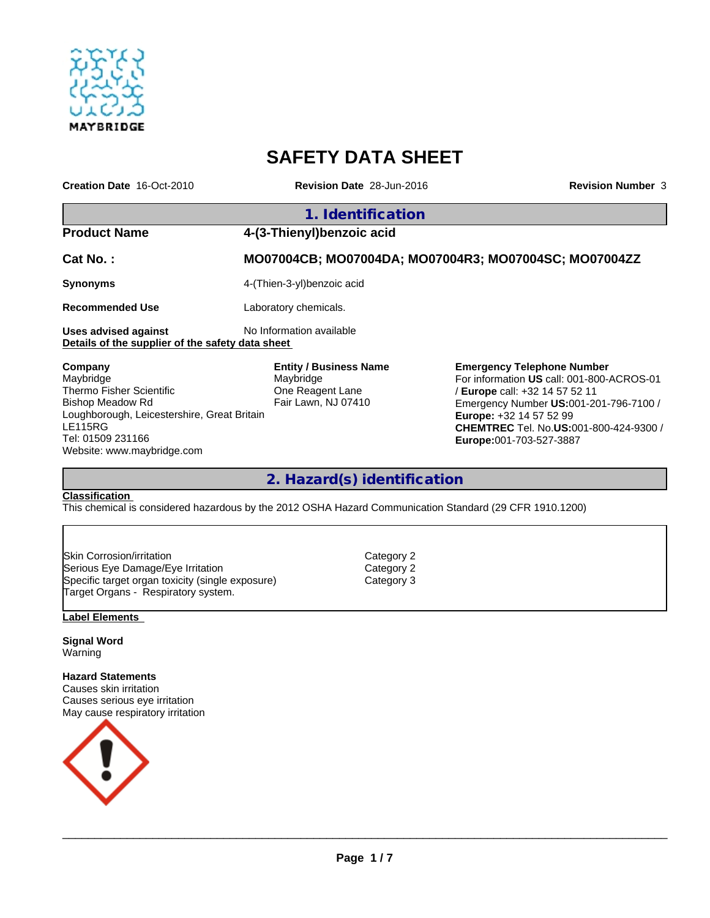

# **SAFETY DATA SHEET**

| Creation Date 16-Oct-2010 | <b>Revision Date 28-Jun-2016</b>                      | <b>Revision Number 3</b> |
|---------------------------|-------------------------------------------------------|--------------------------|
|                           | 1. Identification                                     |                          |
| <b>Product Name</b>       | 4-(3-Thienyl) benzoic acid                            |                          |
| Cat No.:                  | MO07004CB; MO07004DA; MO07004R3; MO07004SC; MO07004ZZ |                          |
| <b>Synonyms</b>           | 4-(Thien-3-yl)benzoic acid                            |                          |
| <b>Recommended Use</b>    | Laboratory chemicals.                                 |                          |
| Uses advised against      | No Information available                              |                          |

**Details of the supplier of the safety data sheet** 

**Company** Maybridge Thermo Fisher Scientific Bishop Meadow Rd Loughborough, Leicestershire, Great Britain LE115RG Tel: 01509 231166 Website: www.maybridge.com

**Entity / Business Name** Maybridge One Reagent Lane Fair Lawn, NJ 07410

#### **Emergency Telephone Number** For information **US** call: 001-800-ACROS-01 / **Europe** call: +32 14 57 52 11 Emergency Number **US:**001-201-796-7100 / **Europe:** +32 14 57 52 99 **CHEMTREC** Tel. No.**US:**001-800-424-9300 / **Europe:**001-703-527-3887

## **2. Hazard(s) identification**

## **Classification**

This chemical is considered hazardous by the 2012 OSHA Hazard Communication Standard (29 CFR 1910.1200)

Skin Corrosion/irritation Category 2 Serious Eye Damage/Eye Irritation Category 2 Specific target organ toxicity (single exposure) Target Organs - Respiratory system.

#### **Label Elements**

**Signal Word** Warning

**Hazard Statements** Causes skin irritation Causes serious eye irritation May cause respiratory irritation



 $\_$  ,  $\_$  ,  $\_$  ,  $\_$  ,  $\_$  ,  $\_$  ,  $\_$  ,  $\_$  ,  $\_$  ,  $\_$  ,  $\_$  ,  $\_$  ,  $\_$  ,  $\_$  ,  $\_$  ,  $\_$  ,  $\_$  ,  $\_$  ,  $\_$  ,  $\_$  ,  $\_$  ,  $\_$  ,  $\_$  ,  $\_$  ,  $\_$  ,  $\_$  ,  $\_$  ,  $\_$  ,  $\_$  ,  $\_$  ,  $\_$  ,  $\_$  ,  $\_$  ,  $\_$  ,  $\_$  ,  $\_$  ,  $\_$  ,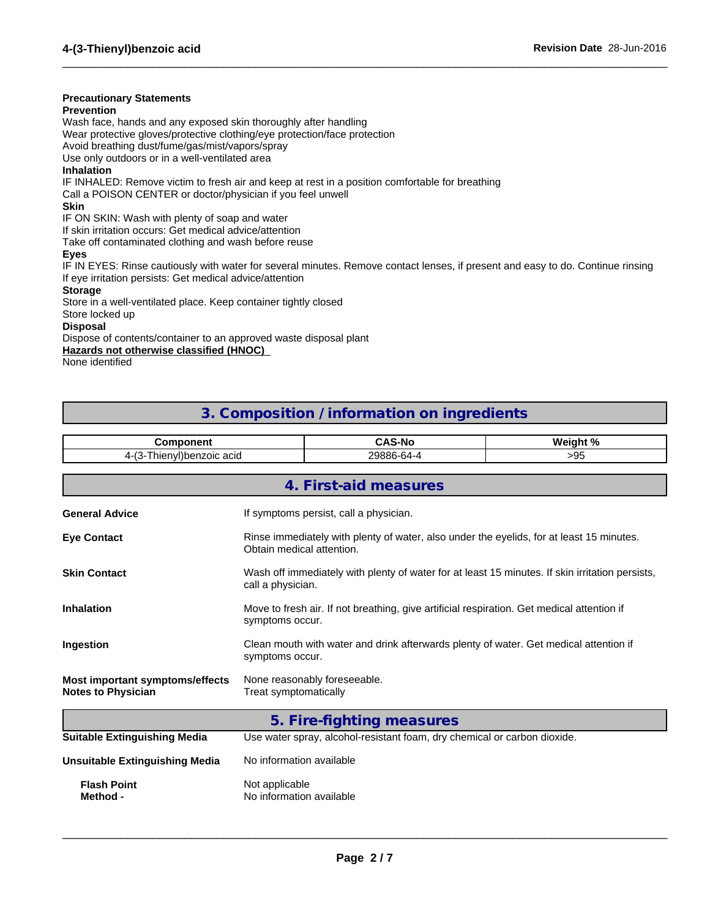### **Precautionary Statements**

#### **Prevention**

Wash face, hands and any exposed skin thoroughly after handling Wear protective gloves/protective clothing/eye protection/face protection

Avoid breathing dust/fume/gas/mist/vapors/spray

Use only outdoors or in a well-ventilated area

#### **Inhalation**

IF INHALED: Remove victim to fresh air and keep at rest in a position comfortable for breathing

Call a POISON CENTER or doctor/physician if you feel unwell

#### **Skin**

IF ON SKIN: Wash with plenty of soap and water

If skin irritation occurs: Get medical advice/attention

Take off contaminated clothing and wash before reuse

#### **Eyes**

IF IN EYES: Rinse cautiously with water for several minutes. Remove contact lenses, if present and easy to do. Continue rinsing If eye irritation persists: Get medical advice/attention

 $\_$  ,  $\_$  ,  $\_$  ,  $\_$  ,  $\_$  ,  $\_$  ,  $\_$  ,  $\_$  ,  $\_$  ,  $\_$  ,  $\_$  ,  $\_$  ,  $\_$  ,  $\_$  ,  $\_$  ,  $\_$  ,  $\_$  ,  $\_$  ,  $\_$  ,  $\_$  ,  $\_$  ,  $\_$  ,  $\_$  ,  $\_$  ,  $\_$  ,  $\_$  ,  $\_$  ,  $\_$  ,  $\_$  ,  $\_$  ,  $\_$  ,  $\_$  ,  $\_$  ,  $\_$  ,  $\_$  ,  $\_$  ,  $\_$  ,

#### **Storage**

Store in a well-ventilated place. Keep container tightly closed

Store locked up

#### **Disposal**

Dispose of contents/container to an approved waste disposal plant

**Hazards not otherwise classified (HNOC)** 

None identified

## **3. Composition / information on ingredients**

| <b>Component</b>                                             |                                                                                                                       |                                                                                                                      | Weight % |  |
|--------------------------------------------------------------|-----------------------------------------------------------------------------------------------------------------------|----------------------------------------------------------------------------------------------------------------------|----------|--|
|                                                              | 4-(3-Thienyl)benzoic acid                                                                                             |                                                                                                                      | >95      |  |
|                                                              |                                                                                                                       | 4. First-aid measures                                                                                                |          |  |
| <b>General Advice</b>                                        |                                                                                                                       | If symptoms persist, call a physician.                                                                               |          |  |
| <b>Eye Contact</b>                                           | Rinse immediately with plenty of water, also under the eyelids, for at least 15 minutes.<br>Obtain medical attention. |                                                                                                                      |          |  |
| <b>Skin Contact</b>                                          |                                                                                                                       | Wash off immediately with plenty of water for at least 15 minutes. If skin irritation persists,<br>call a physician. |          |  |
| <b>Inhalation</b>                                            |                                                                                                                       | Move to fresh air. If not breathing, give artificial respiration. Get medical attention if<br>symptoms occur.        |          |  |
| Ingestion                                                    | symptoms occur.                                                                                                       | Clean mouth with water and drink afterwards plenty of water. Get medical attention if                                |          |  |
| Most important symptoms/effects<br><b>Notes to Physician</b> | Treat symptomatically                                                                                                 | None reasonably foreseeable.                                                                                         |          |  |
|                                                              |                                                                                                                       | 5. Fire-fighting measures                                                                                            |          |  |
| <b>Suitable Extinguishing Media</b>                          |                                                                                                                       | Use water spray, alcohol-resistant foam, dry chemical or carbon dioxide.                                             |          |  |
| <b>Unsuitable Extinguishing Media</b>                        | No information available                                                                                              |                                                                                                                      |          |  |
| <b>Flash Point</b><br>Method -                               | Not applicable<br>No information available                                                                            |                                                                                                                      |          |  |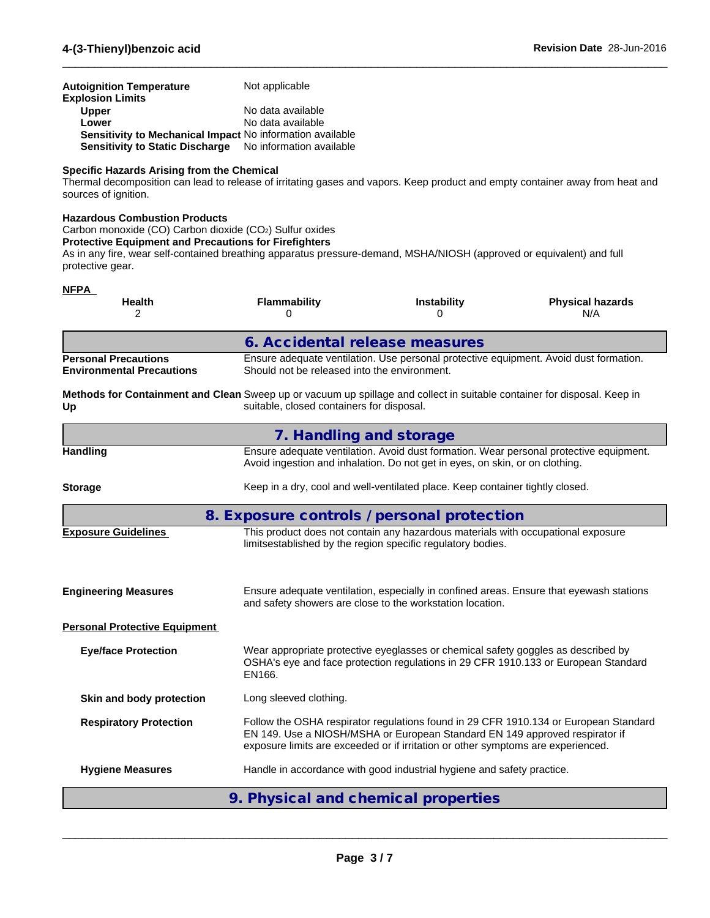| Autoignition Temperature                                         | Not applicable    |
|------------------------------------------------------------------|-------------------|
| <b>Explosion Limits</b>                                          |                   |
| <b>Upper</b>                                                     | No data available |
| Lower                                                            | No data available |
| <b>Sensitivity to Mechanical Impact No information available</b> |                   |
| Sensitivity to Static Discharge No information available         |                   |

#### **Specific Hazards Arising from the Chemical**

Thermal decomposition can lead to release of irritating gases and vapors. Keep product and empty container away from heat and sources of ignition.

 $\_$  ,  $\_$  ,  $\_$  ,  $\_$  ,  $\_$  ,  $\_$  ,  $\_$  ,  $\_$  ,  $\_$  ,  $\_$  ,  $\_$  ,  $\_$  ,  $\_$  ,  $\_$  ,  $\_$  ,  $\_$  ,  $\_$  ,  $\_$  ,  $\_$  ,  $\_$  ,  $\_$  ,  $\_$  ,  $\_$  ,  $\_$  ,  $\_$  ,  $\_$  ,  $\_$  ,  $\_$  ,  $\_$  ,  $\_$  ,  $\_$  ,  $\_$  ,  $\_$  ,  $\_$  ,  $\_$  ,  $\_$  ,  $\_$  ,

#### **Hazardous Combustion Products**

Carbon monoxide (CO) Carbon dioxide (CO2) Sulfur oxides

#### **Protective Equipment and Precautions for Firefighters**

As in any fire, wear self-contained breathing apparatus pressure-demand, MSHA/NIOSH (approved or equivalent) and full protective gear.

| <b>NFPA</b>                                                                                                                    |                                              |                                                                                                                                                                         |                                                                                      |
|--------------------------------------------------------------------------------------------------------------------------------|----------------------------------------------|-------------------------------------------------------------------------------------------------------------------------------------------------------------------------|--------------------------------------------------------------------------------------|
| <b>Health</b><br>2                                                                                                             | Flammability<br>0                            | Instability<br>0                                                                                                                                                        | <b>Physical hazards</b><br>N/A                                                       |
|                                                                                                                                |                                              | 6. Accidental release measures                                                                                                                                          |                                                                                      |
| <b>Personal Precautions</b><br><b>Environmental Precautions</b>                                                                | Should not be released into the environment. | Ensure adequate ventilation. Use personal protective equipment. Avoid dust formation.                                                                                   |                                                                                      |
| Methods for Containment and Clean Sweep up or vacuum up spillage and collect in suitable container for disposal. Keep in<br>Up | suitable, closed containers for disposal.    |                                                                                                                                                                         |                                                                                      |
|                                                                                                                                |                                              | 7. Handling and storage                                                                                                                                                 |                                                                                      |
| <b>Handling</b>                                                                                                                |                                              | Ensure adequate ventilation. Avoid dust formation. Wear personal protective equipment.<br>Avoid ingestion and inhalation. Do not get in eyes, on skin, or on clothing.  |                                                                                      |
| <b>Storage</b>                                                                                                                 |                                              | Keep in a dry, cool and well-ventilated place. Keep container tightly closed.                                                                                           |                                                                                      |
|                                                                                                                                |                                              | 8. Exposure controls / personal protection                                                                                                                              |                                                                                      |
| <b>Exposure Guidelines</b>                                                                                                     |                                              | This product does not contain any hazardous materials with occupational exposure<br>limitsestablished by the region specific regulatory bodies.                         |                                                                                      |
| <b>Engineering Measures</b>                                                                                                    |                                              | Ensure adequate ventilation, especially in confined areas. Ensure that eyewash stations<br>and safety showers are close to the workstation location.                    |                                                                                      |
| <b>Personal Protective Equipment</b>                                                                                           |                                              |                                                                                                                                                                         |                                                                                      |
| <b>Eye/face Protection</b>                                                                                                     | EN166.                                       | Wear appropriate protective eyeglasses or chemical safety goggles as described by<br>OSHA's eye and face protection regulations in 29 CFR 1910.133 or European Standard |                                                                                      |
| Skin and body protection                                                                                                       | Long sleeved clothing.                       |                                                                                                                                                                         |                                                                                      |
| <b>Respiratory Protection</b>                                                                                                  |                                              | EN 149. Use a NIOSH/MSHA or European Standard EN 149 approved respirator if<br>exposure limits are exceeded or if irritation or other symptoms are experienced.         | Follow the OSHA respirator regulations found in 29 CFR 1910.134 or European Standard |
| <b>Hygiene Measures</b>                                                                                                        |                                              | Handle in accordance with good industrial hygiene and safety practice.                                                                                                  |                                                                                      |
|                                                                                                                                |                                              | 9. Physical and chemical properties                                                                                                                                     |                                                                                      |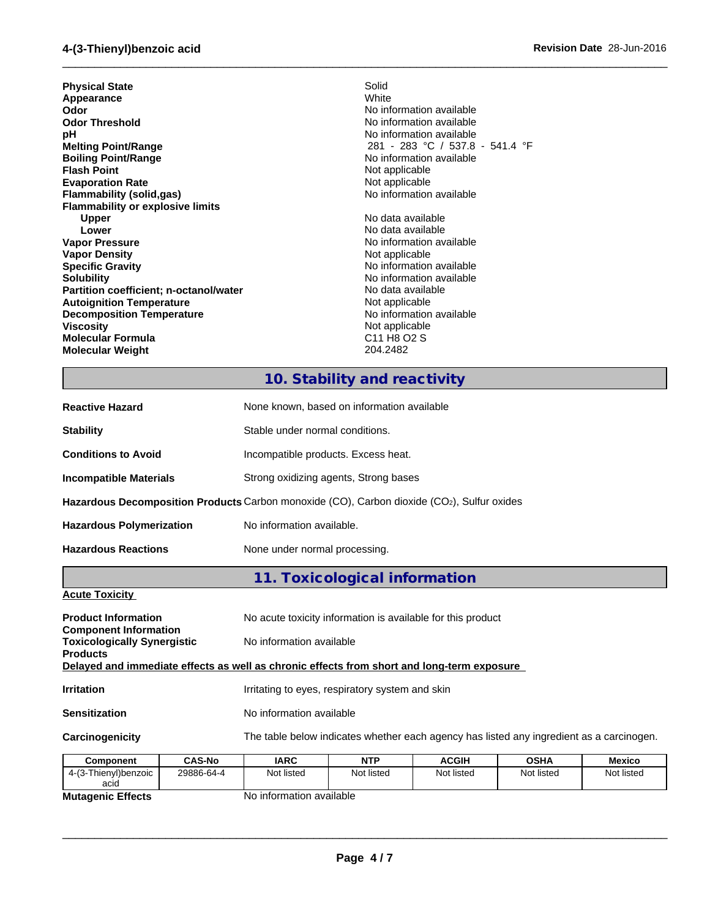| <b>Physical State</b>                   | Solid                                           |
|-----------------------------------------|-------------------------------------------------|
| Appearance                              | White                                           |
| Odor                                    | No information available                        |
| <b>Odor Threshold</b>                   | No information available                        |
| рH                                      | No information available                        |
| <b>Melting Point/Range</b>              | 281 - 283 °C / 537.8 - 541.4 °F                 |
| <b>Boiling Point/Range</b>              | No information available                        |
| <b>Flash Point</b>                      | Not applicable                                  |
| <b>Evaporation Rate</b>                 | Not applicable                                  |
| Flammability (solid,gas)                | No information available                        |
| <b>Flammability or explosive limits</b> |                                                 |
| <b>Upper</b>                            | No data available                               |
| Lower                                   | No data available                               |
| <b>Vapor Pressure</b>                   | No information available                        |
| <b>Vapor Density</b>                    | Not applicable                                  |
| <b>Specific Gravity</b>                 | No information available                        |
| <b>Solubility</b>                       | No information available                        |
| Partition coefficient; n-octanol/water  | No data available                               |
| <b>Autoignition Temperature</b>         | Not applicable                                  |
| <b>Decomposition Temperature</b>        | No information available                        |
| <b>Viscosity</b>                        | Not applicable                                  |
| <b>Molecular Formula</b>                | C <sub>11</sub> H <sub>8</sub> O <sub>2</sub> S |
| <b>Molecular Weight</b>                 | 204.2482                                        |
|                                         |                                                 |

# **10. Stability and reactivity**

 $\_$  ,  $\_$  ,  $\_$  ,  $\_$  ,  $\_$  ,  $\_$  ,  $\_$  ,  $\_$  ,  $\_$  ,  $\_$  ,  $\_$  ,  $\_$  ,  $\_$  ,  $\_$  ,  $\_$  ,  $\_$  ,  $\_$  ,  $\_$  ,  $\_$  ,  $\_$  ,  $\_$  ,  $\_$  ,  $\_$  ,  $\_$  ,  $\_$  ,  $\_$  ,  $\_$  ,  $\_$  ,  $\_$  ,  $\_$  ,  $\_$  ,  $\_$  ,  $\_$  ,  $\_$  ,  $\_$  ,  $\_$  ,  $\_$  ,

| <b>Reactive Hazard</b>                                             | None known, based on information available                                                              |
|--------------------------------------------------------------------|---------------------------------------------------------------------------------------------------------|
| <b>Stability</b>                                                   | Stable under normal conditions.                                                                         |
| <b>Conditions to Avoid</b>                                         | Incompatible products. Excess heat.                                                                     |
| <b>Incompatible Materials</b>                                      | Strong oxidizing agents, Strong bases                                                                   |
|                                                                    | <b>Hazardous Decomposition Products</b> Carbon monoxide $(CO)$ , Carbon dioxide $(CO2)$ , Sulfur oxides |
| <b>Hazardous Polymerization</b>                                    | No information available.                                                                               |
| <b>Hazardous Reactions</b>                                         | None under normal processing.                                                                           |
|                                                                    | 11. Toxicological information                                                                           |
| <b>Acute Toxicity</b>                                              |                                                                                                         |
| <b>Product Information</b>                                         | No acute toxicity information is available for this product                                             |
| <b>Component Information</b><br><b>Toxicologically Synergistic</b> | No information available                                                                                |
| <b>Products</b>                                                    | Delayed and immediate effects as well as chronic effects from short and long-term exposure              |
| <b>Irritation</b>                                                  | Irritating to eyes, respiratory system and skin                                                         |

**Sensitization** No information available

**Carcinogenicity** The table below indicates whether each agency has listed any ingredient as a carcinogen.

| Component                | <b>CAS-No</b> | IARC                     | <b>NTP</b> | ACGIH      | <b>OSHA</b> | <b>Mexico</b> |
|--------------------------|---------------|--------------------------|------------|------------|-------------|---------------|
| 4-(3-Thienyl)benzoic     | 29886-64-4    | Not listed               | Not listed | Not listed | Not listed  | Not listed    |
| acid                     |               |                          |            |            |             |               |
| <b>Mutagenic Effects</b> |               | No information available |            |            |             |               |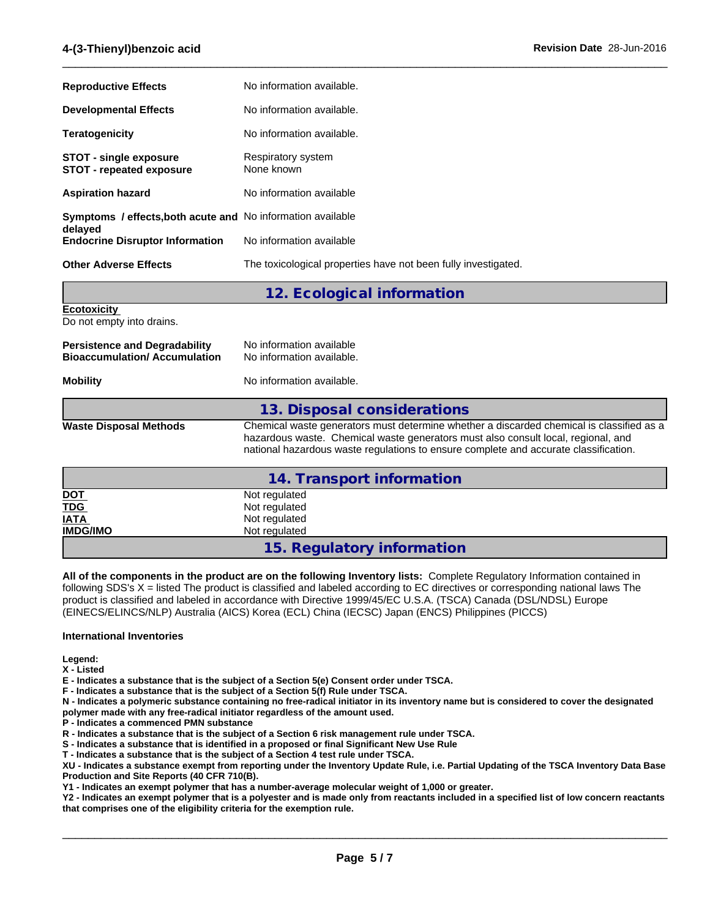| <b>Reproductive Effects</b>                                                   | No information available.                                      |
|-------------------------------------------------------------------------------|----------------------------------------------------------------|
| <b>Developmental Effects</b>                                                  | No information available.                                      |
| <b>Teratogenicity</b>                                                         | No information available.                                      |
| <b>STOT - single exposure</b><br><b>STOT - repeated exposure</b>              | Respiratory system<br>None known                               |
| <b>Aspiration hazard</b>                                                      | No information available                                       |
| <b>Symptoms / effects, both acute and No information available</b><br>delayed |                                                                |
| <b>Endocrine Disruptor Information</b>                                        | No information available                                       |
| <b>Other Adverse Effects</b>                                                  | The toxicological properties have not been fully investigated. |

 $\_$  ,  $\_$  ,  $\_$  ,  $\_$  ,  $\_$  ,  $\_$  ,  $\_$  ,  $\_$  ,  $\_$  ,  $\_$  ,  $\_$  ,  $\_$  ,  $\_$  ,  $\_$  ,  $\_$  ,  $\_$  ,  $\_$  ,  $\_$  ,  $\_$  ,  $\_$  ,  $\_$  ,  $\_$  ,  $\_$  ,  $\_$  ,  $\_$  ,  $\_$  ,  $\_$  ,  $\_$  ,  $\_$  ,  $\_$  ,  $\_$  ,  $\_$  ,  $\_$  ,  $\_$  ,  $\_$  ,  $\_$  ,  $\_$  ,

|                                                                              | 12. Ecological information                                                                                                                                                                                                                                            |
|------------------------------------------------------------------------------|-----------------------------------------------------------------------------------------------------------------------------------------------------------------------------------------------------------------------------------------------------------------------|
| <b>Ecotoxicity</b><br>Do not empty into drains.                              |                                                                                                                                                                                                                                                                       |
| <b>Persistence and Degradability</b><br><b>Bioaccumulation/ Accumulation</b> | No information available<br>No information available.                                                                                                                                                                                                                 |
| <b>Mobility</b>                                                              | No information available.                                                                                                                                                                                                                                             |
|                                                                              | 13. Disposal considerations                                                                                                                                                                                                                                           |
| <b>Waste Disposal Methods</b>                                                | Chemical waste generators must determine whether a discarded chemical is classified as a<br>hazardous waste. Chemical waste generators must also consult local, regional, and<br>national hazardous waste regulations to ensure complete and accurate classification. |
|                                                                              | 14. Transport information                                                                                                                                                                                                                                             |
| <u>DOT</u><br><b>TDG</b>                                                     | Not regulated<br>Not regulated                                                                                                                                                                                                                                        |
| <b>IATA</b><br><b>IMDG/IMO</b>                                               | Not regulated<br>Not regulated                                                                                                                                                                                                                                        |
|                                                                              | 15. Regulatory information                                                                                                                                                                                                                                            |

**All of the components in the product are on the following Inventory lists:** Complete Regulatory Information contained in following SDS's X = listed The product is classified and labeled according to EC directives or corresponding national laws The product is classified and labeled in accordance with Directive 1999/45/EC U.S.A. (TSCA) Canada (DSL/NDSL) Europe (EINECS/ELINCS/NLP) Australia (AICS) Korea (ECL) China (IECSC) Japan (ENCS) Philippines (PICCS)

#### **International Inventories**

**Legend:**

**X - Listed**

**E - Indicates a substance that is the subject of a Section 5(e) Consent order under TSCA.**

**F - Indicates a substance that is the subject of a Section 5(f) Rule under TSCA.**

**N - Indicates a polymeric substance containing no free-radical initiator in its inventory name but is considered to cover the designated polymer made with any free-radical initiator regardless of the amount used.**

**P - Indicates a commenced PMN substance**

**R - Indicates a substance that is the subject of a Section 6 risk management rule under TSCA.**

**S - Indicates a substance that is identified in a proposed or final Significant New Use Rule**

**T - Indicates a substance that is the subject of a Section 4 test rule under TSCA.**

**XU - Indicates a substance exempt from reporting under the Inventory Update Rule, i.e. Partial Updating of the TSCA Inventory Data Base Production and Site Reports (40 CFR 710(B).**

**Y1 - Indicates an exempt polymer that has a number-average molecular weight of 1,000 or greater.**

**Y2 - Indicates an exempt polymer that is a polyester and is made only from reactants included in a specified list of low concern reactants that comprises one of the eligibility criteria for the exemption rule.**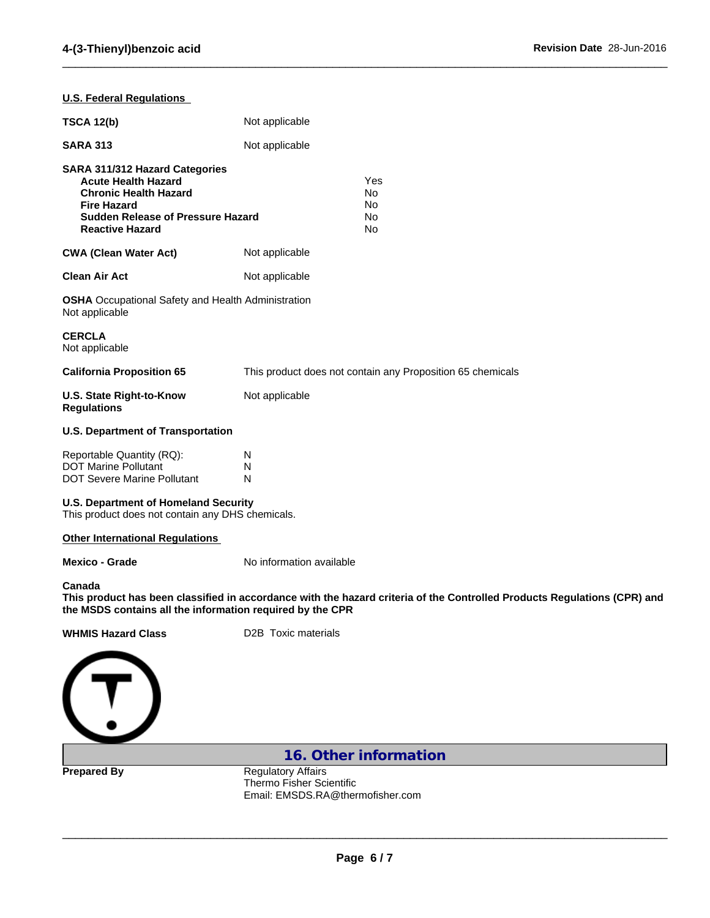$\_$  ,  $\_$  ,  $\_$  ,  $\_$  ,  $\_$  ,  $\_$  ,  $\_$  ,  $\_$  ,  $\_$  ,  $\_$  ,  $\_$  ,  $\_$  ,  $\_$  ,  $\_$  ,  $\_$  ,  $\_$  ,  $\_$  ,  $\_$  ,  $\_$  ,  $\_$  ,  $\_$  ,  $\_$  ,  $\_$  ,  $\_$  ,  $\_$  ,  $\_$  ,  $\_$  ,  $\_$  ,  $\_$  ,  $\_$  ,  $\_$  ,  $\_$  ,  $\_$  ,  $\_$  ,  $\_$  ,  $\_$  ,  $\_$  ,

| <b>U.S. Federal Regulations</b>                                                                                                                                                          |                                                                                                                          |
|------------------------------------------------------------------------------------------------------------------------------------------------------------------------------------------|--------------------------------------------------------------------------------------------------------------------------|
| <b>TSCA 12(b)</b>                                                                                                                                                                        | Not applicable                                                                                                           |
| <b>SARA 313</b>                                                                                                                                                                          | Not applicable                                                                                                           |
| SARA 311/312 Hazard Categories<br><b>Acute Health Hazard</b><br><b>Chronic Health Hazard</b><br><b>Fire Hazard</b><br><b>Sudden Release of Pressure Hazard</b><br><b>Reactive Hazard</b> | Yes<br>No<br>No<br>No<br>No                                                                                              |
| <b>CWA (Clean Water Act)</b>                                                                                                                                                             | Not applicable                                                                                                           |
| <b>Clean Air Act</b>                                                                                                                                                                     | Not applicable                                                                                                           |
| <b>OSHA</b> Occupational Safety and Health Administration<br>Not applicable                                                                                                              |                                                                                                                          |
| <b>CERCLA</b><br>Not applicable                                                                                                                                                          |                                                                                                                          |
| <b>California Proposition 65</b>                                                                                                                                                         | This product does not contain any Proposition 65 chemicals                                                               |
| <b>U.S. State Right-to-Know</b><br><b>Regulations</b>                                                                                                                                    | Not applicable                                                                                                           |
| <b>U.S. Department of Transportation</b>                                                                                                                                                 |                                                                                                                          |
| Reportable Quantity (RQ):<br><b>DOT Marine Pollutant</b><br><b>DOT Severe Marine Pollutant</b>                                                                                           | N<br>N<br>N                                                                                                              |
| <b>U.S. Department of Homeland Security</b><br>This product does not contain any DHS chemicals.                                                                                          |                                                                                                                          |
| <b>Other International Regulations</b>                                                                                                                                                   |                                                                                                                          |
| <b>Mexico - Grade</b>                                                                                                                                                                    | No information available                                                                                                 |
| Canada<br>the MSDS contains all the information required by the CPR                                                                                                                      | This product has been classified in accordance with the hazard criteria of the Controlled Products Regulations (CPR) and |
| <b>WHMIS Hazard Class</b>                                                                                                                                                                | D2B Toxic materials                                                                                                      |
|                                                                                                                                                                                          |                                                                                                                          |
|                                                                                                                                                                                          | 16. Other information                                                                                                    |
| <b>Prepared By</b>                                                                                                                                                                       | <b>Regulatory Affairs</b>                                                                                                |

Thermo Fisher Scientific Email: EMSDS.RA@thermofisher.com